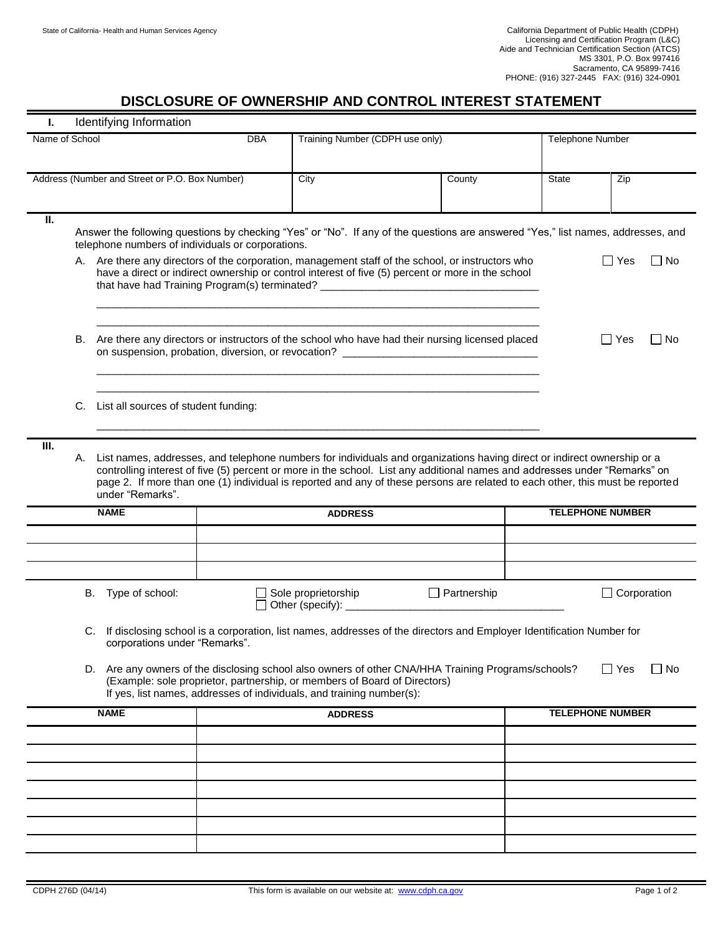## **DISCLOSURE OF OWNERSHIP AND CONTROL INTEREST STATEMENT**

| Identifying Information<br>L.                                                                                                                                                                                                                                                          |                                                                                                                                                                                                                                                                                                                                                                                                                  |                                                                                                                                                                                                                                                                                            |                |                                         |                    |                         |                         |           |  |
|----------------------------------------------------------------------------------------------------------------------------------------------------------------------------------------------------------------------------------------------------------------------------------------|------------------------------------------------------------------------------------------------------------------------------------------------------------------------------------------------------------------------------------------------------------------------------------------------------------------------------------------------------------------------------------------------------------------|--------------------------------------------------------------------------------------------------------------------------------------------------------------------------------------------------------------------------------------------------------------------------------------------|----------------|-----------------------------------------|--------------------|-------------------------|-------------------------|-----------|--|
| Name of School                                                                                                                                                                                                                                                                         |                                                                                                                                                                                                                                                                                                                                                                                                                  |                                                                                                                                                                                                                                                                                            | <b>DBA</b>     | Training Number (CDPH use only)         |                    |                         | <b>Telephone Number</b> |           |  |
|                                                                                                                                                                                                                                                                                        |                                                                                                                                                                                                                                                                                                                                                                                                                  |                                                                                                                                                                                                                                                                                            |                |                                         |                    |                         |                         |           |  |
| Address (Number and Street or P.O. Box Number)                                                                                                                                                                                                                                         |                                                                                                                                                                                                                                                                                                                                                                                                                  |                                                                                                                                                                                                                                                                                            |                | City                                    | County             | State                   | Zip                     |           |  |
| II.                                                                                                                                                                                                                                                                                    |                                                                                                                                                                                                                                                                                                                                                                                                                  |                                                                                                                                                                                                                                                                                            |                |                                         |                    |                         |                         |           |  |
|                                                                                                                                                                                                                                                                                        |                                                                                                                                                                                                                                                                                                                                                                                                                  | Answer the following questions by checking "Yes" or "No". If any of the questions are answered "Yes," list names, addresses, and<br>telephone numbers of individuals or corporations.                                                                                                      |                |                                         |                    |                         |                         |           |  |
|                                                                                                                                                                                                                                                                                        |                                                                                                                                                                                                                                                                                                                                                                                                                  | A. Are there any directors of the corporation, management staff of the school, or instructors who<br>have a direct or indirect ownership or control interest of five (5) percent or more in the school<br>that have had Training Program(s) terminated? __________________________________ |                | $\Box$ Yes                              | l INo              |                         |                         |           |  |
|                                                                                                                                                                                                                                                                                        | В.                                                                                                                                                                                                                                                                                                                                                                                                               | Are there any directors or instructors of the school who have had their nursing licensed placed<br>Yes<br>on suspension, probation, diversion, or revocation? ____________________________                                                                                                 |                |                                         |                    |                         |                         | $\Box$ No |  |
|                                                                                                                                                                                                                                                                                        |                                                                                                                                                                                                                                                                                                                                                                                                                  | C. List all sources of student funding:                                                                                                                                                                                                                                                    |                |                                         |                    |                         |                         |           |  |
| III.                                                                                                                                                                                                                                                                                   | List names, addresses, and telephone numbers for individuals and organizations having direct or indirect ownership or a<br>А.<br>controlling interest of five (5) percent or more in the school. List any additional names and addresses under "Remarks" on<br>page 2. If more than one (1) individual is reported and any of these persons are related to each other, this must be reported<br>under "Remarks". |                                                                                                                                                                                                                                                                                            |                |                                         |                    |                         |                         |           |  |
|                                                                                                                                                                                                                                                                                        | <b>NAME</b>                                                                                                                                                                                                                                                                                                                                                                                                      |                                                                                                                                                                                                                                                                                            | <b>ADDRESS</b> |                                         |                    |                         | <b>TELEPHONE NUMBER</b> |           |  |
|                                                                                                                                                                                                                                                                                        |                                                                                                                                                                                                                                                                                                                                                                                                                  |                                                                                                                                                                                                                                                                                            |                |                                         |                    |                         |                         |           |  |
|                                                                                                                                                                                                                                                                                        |                                                                                                                                                                                                                                                                                                                                                                                                                  |                                                                                                                                                                                                                                                                                            |                |                                         |                    |                         |                         |           |  |
|                                                                                                                                                                                                                                                                                        |                                                                                                                                                                                                                                                                                                                                                                                                                  | B. Type of school:                                                                                                                                                                                                                                                                         |                | Sole proprietorship<br>Other (specify): | $\Box$ Partnership |                         | $\Box$ Corporation      |           |  |
| C. If disclosing school is a corporation, list names, addresses of the directors and Employer Identification Number for<br>corporations under "Remarks".                                                                                                                               |                                                                                                                                                                                                                                                                                                                                                                                                                  |                                                                                                                                                                                                                                                                                            |                |                                         |                    |                         |                         |           |  |
| $\square$ Yes<br>$\Box$ No<br>D. Are any owners of the disclosing school also owners of other CNA/HHA Training Programs/schools?<br>(Example: sole proprietor, partnership, or members of Board of Directors)<br>If yes, list names, addresses of individuals, and training number(s): |                                                                                                                                                                                                                                                                                                                                                                                                                  |                                                                                                                                                                                                                                                                                            |                |                                         |                    |                         |                         |           |  |
| <b>NAME</b>                                                                                                                                                                                                                                                                            |                                                                                                                                                                                                                                                                                                                                                                                                                  |                                                                                                                                                                                                                                                                                            | <b>ADDRESS</b> |                                         |                    | <b>TELEPHONE NUMBER</b> |                         |           |  |
|                                                                                                                                                                                                                                                                                        |                                                                                                                                                                                                                                                                                                                                                                                                                  |                                                                                                                                                                                                                                                                                            |                |                                         |                    |                         |                         |           |  |
|                                                                                                                                                                                                                                                                                        |                                                                                                                                                                                                                                                                                                                                                                                                                  |                                                                                                                                                                                                                                                                                            |                |                                         |                    |                         |                         |           |  |
|                                                                                                                                                                                                                                                                                        |                                                                                                                                                                                                                                                                                                                                                                                                                  |                                                                                                                                                                                                                                                                                            |                |                                         |                    |                         |                         |           |  |
|                                                                                                                                                                                                                                                                                        |                                                                                                                                                                                                                                                                                                                                                                                                                  |                                                                                                                                                                                                                                                                                            |                |                                         |                    |                         |                         |           |  |
|                                                                                                                                                                                                                                                                                        |                                                                                                                                                                                                                                                                                                                                                                                                                  |                                                                                                                                                                                                                                                                                            |                |                                         |                    |                         |                         |           |  |
|                                                                                                                                                                                                                                                                                        |                                                                                                                                                                                                                                                                                                                                                                                                                  |                                                                                                                                                                                                                                                                                            |                |                                         |                    |                         |                         |           |  |